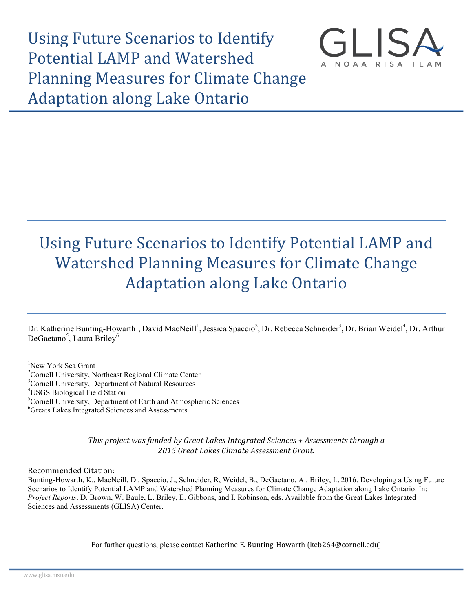Using Future Scenarios to Identify Potential LAMP and Watershed Planning Measures for Climate Change **Adaptation along Lake Ontario** 



# Using Future Scenarios to Identify Potential LAMP and Watershed Planning Measures for Climate Change **Adaptation along Lake Ontario**

Dr. Katherine Bunting-Howarth<sup>1</sup>, David MacNeill<sup>1</sup>, Jessica Spaccio<sup>2</sup>, Dr. Rebecca Schneider<sup>3</sup>, Dr. Brian Weidel<sup>4</sup>, Dr. Arthur DeGaetano<sup>5</sup>, Laura Briley<sup>6</sup>

1 New York Sea Grant <sup>2</sup> Cornell University, Northeast Regional Climate Center <sup>3</sup> Cornell University, Department of Natural Becourses <sup>3</sup>Cornell University, Department of Natural Resources <sup>4</sup>USGS Biological Field Station Cornell University, Department of Earth and Atmospheric Sciences 6 Greats Lakes Integrated Sciences and Assessments

> *This project* was funded by Great Lakes Integrated Sciences + Assessments through a *2015 Great Lakes Climate Assessment Grant.*

Recommended Citation:

Bunting-Howarth, K., MacNeill, D., Spaccio, J., Schneider, R, Weidel, B., DeGaetano, A., Briley, L. 2016. Developing a Using Future Scenarios to Identify Potential LAMP and Watershed Planning Measures for Climate Change Adaptation along Lake Ontario. In: *Project Reports*. D. Brown, W. Baule, L. Briley, E. Gibbons, and I. Robinson, eds. Available from the Great Lakes Integrated Sciences and Assessments (GLISA) Center.

For further questions, please contact Katherine E. Bunting-Howarth (keb264@cornell.edu)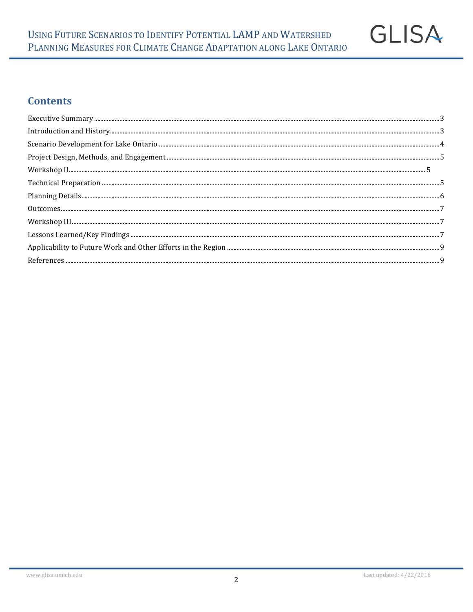

# **Contents**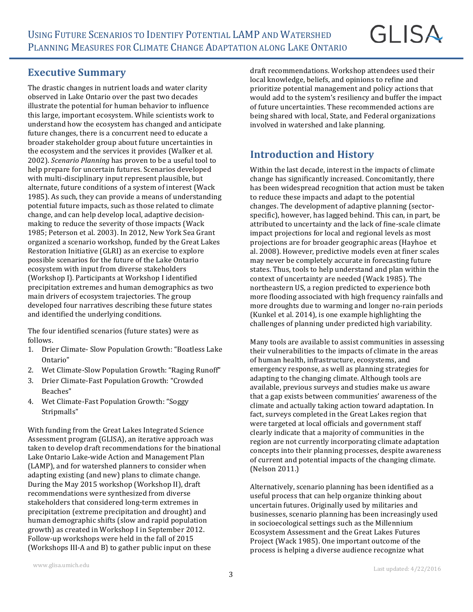# **GLISA**

#### **Executive Summary**

The drastic changes in nutrient loads and water clarity observed in Lake Ontario over the past two decades illustrate the potential for human behavior to influence this large, important ecosystem. While scientists work to understand how the ecosystem has changed and anticipate future changes, there is a concurrent need to educate a broader stakeholder group about future uncertainties in the ecosystem and the services it provides (Walker et al. 2002). *Scenario Planning* has proven to be a useful tool to help prepare for uncertain futures. Scenarios developed with multi-disciplinary input represent plausible, but alternate, future conditions of a system of interest (Wack 1985). As such, they can provide a means of understanding potential future impacts, such as those related to climate change, and can help develop local, adaptive decisionmaking to reduce the severity of those impacts (Wack 1985; Peterson et al. 2003). In 2012, New York Sea Grant organized a scenario workshop, funded by the Great Lakes Restoration Initiative (GLRI) as an exercise to explore possible scenarios for the future of the Lake Ontario ecosystem with input from diverse stakeholders (Workshop I). Participants at Workshop I identified precipitation extremes and human demographics as two main drivers of ecosystem trajectories. The group developed four narratives describing these future states and identified the underlying conditions.

The four identified scenarios (future states) were as follows.

- 1. Drier Climate- Slow Population Growth: "Boatless Lake Ontario"
- 2. Wet Climate-Slow Population Growth: "Raging Runoff"
- 3. Drier Climate-Fast Population Growth: "Crowded Beaches"
- 4. Wet Climate-Fast Population Growth: "Soggy Stripmalls"

With funding from the Great Lakes Integrated Science Assessment program (GLISA), an iterative approach was taken to develop draft recommendations for the binational Lake Ontario Lake-wide Action and Management Plan (LAMP), and for watershed planners to consider when adapting existing (and new) plans to climate change. During the May 2015 workshop (Workshop II), draft recommendations were synthesized from diverse stakeholders that considered long-term extremes in precipitation (extreme precipitation and drought) and human demographic shifts (slow and rapid population growth) as created in Workshop I in September 2012. Follow-up workshops were held in the fall of 2015 (Workshops III-A and B) to gather public input on these

draft recommendations. Workshop attendees used their local knowledge, beliefs, and opinions to refine and prioritize potential management and policy actions that would add to the system's resiliency and buffer the impact of future uncertainties. These recommended actions are being shared with local, State, and Federal organizations involved in watershed and lake planning.

# **Introduction and History**

Within the last decade, interest in the impacts of climate change has significantly increased. Concomitantly, there has been widespread recognition that action must be taken to reduce these impacts and adapt to the potential changes. The development of adaptive planning (sectorspecific), however, has lagged behind. This can, in part, be attributed to uncertainty and the lack of fine-scale climate impact projections for local and regional levels as most projections are for broader geographic areas (Hayhoe et al. 2008). However, predictive models even at finer scales may never be completely accurate in forecasting future states. Thus, tools to help understand and plan within the context of uncertainty are needed (Wack 1985). The northeastern US, a region predicted to experience both more flooding associated with high frequency rainfalls and more droughts due to warming and longer no-rain periods (Kunkel et al. 2014), is one example highlighting the challenges of planning under predicted high variability.

Many tools are available to assist communities in assessing their vulnerabilities to the impacts of climate in the areas of human health, infrastructure, ecosystems, and emergency response, as well as planning strategies for adapting to the changing climate. Although tools are available, previous surveys and studies make us aware that a gap exists between communities' awareness of the climate and actually taking action toward adaptation. In fact, surveys completed in the Great Lakes region that were targeted at local officials and government staff clearly indicate that a majority of communities in the region are not currently incorporating climate adaptation concepts into their planning processes, despite awareness of current and potential impacts of the changing climate. (Nelson 2011.) 

Alternatively, scenario planning has been identified as a useful process that can help organize thinking about uncertain futures. Originally used by militaries and businesses, scenario planning has been increasingly used in socioecological settings such as the Millennium Ecosystem Assessment and the Great Lakes Futures Project (Wack 1985). One important outcome of the process is helping a diverse audience recognize what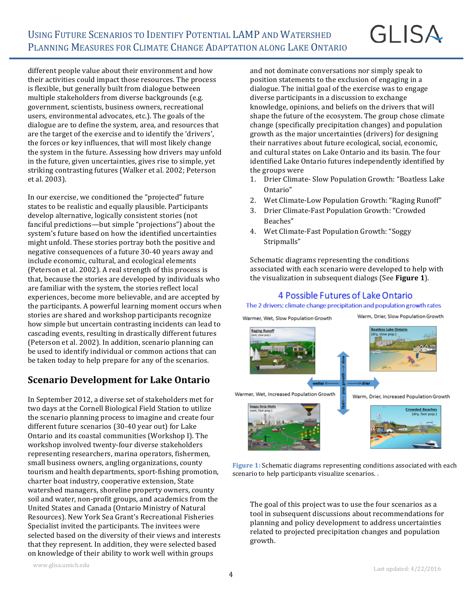different people value about their environment and how their activities could impact those resources. The process is flexible, but generally built from dialogue between multiple stakeholders from diverse backgrounds (e.g. government, scientists, business owners, recreational users, environmental advocates, etc.). The goals of the dialogue are to define the system, area, and resources that are the target of the exercise and to identify the 'drivers', the forces or key influences, that will most likely change the system in the future. Assessing how drivers may unfold in the future, given uncertainties, gives rise to simple, yet striking contrasting futures (Walker et al. 2002; Peterson et al. 2003).

In our exercise, we conditioned the "projected" future states to be realistic and equally plausible. Participants develop alternative, logically consistent stories (not fanciful predictions—but simple "projections") about the system's future based on how the identified uncertainties might unfold. These stories portray both the positive and negative consequences of a future 30-40 years away and include economic, cultural, and ecological elements (Peterson et al. 2002). A real strength of this process is that, because the stories are developed by individuals who are familiar with the system, the stories reflect local experiences, become more believable, and are accepted by the participants. A powerful learning moment occurs when stories are shared and workshop participants recognize how simple but uncertain contrasting incidents can lead to cascading events, resulting in drastically different futures (Peterson et al. 2002). In addition, scenario planning can be used to identify individual or common actions that can be taken today to help prepare for any of the scenarios.

#### **Scenario Development for Lake Ontario**

In September 2012, a diverse set of stakeholders met for two days at the Cornell Biological Field Station to utilize the scenario planning process to imagine and create four different future scenarios (30-40 year out) for Lake Ontario and its coastal communities (Workshop I). The workshop involved twenty-four diverse stakeholders representing researchers, marina operators, fishermen, small business owners, angling organizations, county tourism and health departments, sport-fishing promotion, charter boat industry, cooperative extension, State watershed managers, shoreline property owners, county soil and water, non-profit groups, and academics from the United States and Canada (Ontario Ministry of Natural Resources). New York Sea Grant's Recreational Fisheries Specialist invited the participants. The invitees were selected based on the diversity of their views and interests that they represent. In addition, they were selected based on knowledge of their ability to work well within groups

and not dominate conversations nor simply speak to position statements to the exclusion of engaging in a dialogue. The initial goal of the exercise was to engage diverse participants in a discussion to exchange knowledge, opinions, and beliefs on the drivers that will shape the future of the ecosystem. The group chose climate change (specifically precipitation changes) and population growth as the major uncertainties (drivers) for designing their narratives about future ecological, social, economic, and cultural states on Lake Ontario and its basin. The four identified Lake Ontario futures independently identified by the groups were

- 1. Drier Climate- Slow Population Growth: "Boatless Lake Ontario"
- 2. Wet Climate-Low Population Growth: "Raging Runoff"
- 3. Drier Climate-Fast Population Growth: "Crowded Beaches"
- 4. Wet Climate-Fast Population Growth: "Soggy Stripmalls"

Schematic diagrams representing the conditions associated with each scenario were developed to help with the visualization in subsequent dialogs (See **Figure 1**).

#### 4 Possible Futures of Lake Ontario

The 2 drivers: climate change precipitation and population growth rates Warm, Drier, Slow Population Growth Warmer, Wet, Slow Population Growth oatless Lake Ontario **Raging Runoff** Warmer, Wet, Increased Population Growth Warm, Drier, Increased Population Growth oggy Strip Mall vded Beache

**Figure 1:** Schematic diagrams representing conditions associated with each scenario to help participants visualize scenarios.

The goal of this project was to use the four scenarios as a tool in subsequent discussions about recommendations for planning and policy development to address uncertainties related to projected precipitation changes and population growth.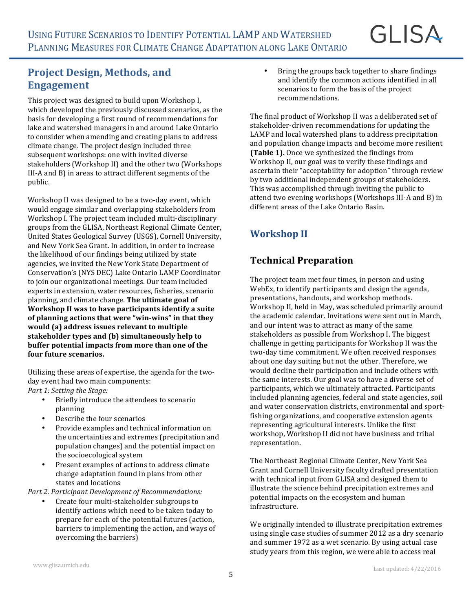#### **Project Design, Methods, and Engagement**

This project was designed to build upon Workshop I, which developed the previously discussed scenarios, as the basis for developing a first round of recommendations for lake and watershed managers in and around Lake Ontario to consider when amending and creating plans to address climate change. The project design included three subsequent workshops: one with invited diverse stakeholders (Workshop II) and the other two (Workshops III-A and B) in areas to attract different segments of the public. 

Workshop II was designed to be a two-day event, which would engage similar and overlapping stakeholders from Workshop I. The project team included multi-disciplinary groups from the GLISA, Northeast Regional Climate Center, United States Geological Survey (USGS), Cornell University, and New York Sea Grant. In addition, in order to increase the likelihood of our findings being utilized by state agencies, we invited the New York State Department of Conservation's (NYS DEC) Lake Ontario LAMP Coordinator to join our organizational meetings. Our team included experts in extension, water resources, fisheries, scenario planning, and climate change. The ultimate goal of **Workshop II was to have participants identify a suite** of planning actions that were "win-wins" in that they would (a) address issues relevant to multiple stakeholder types and (b) simultaneously help to **buffer potential impacts from more than one of the** four future scenarios.

Utilizing these areas of expertise, the agenda for the twoday event had two main components: Part 1: Setting the Stage:

- Briefly introduce the attendees to scenario planning
- Describe the four scenarios
- Provide examples and technical information on the uncertainties and extremes (precipitation and population changes) and the potential impact on the socioecological system
- Present examples of actions to address climate change adaptation found in plans from other states and locations

Part 2. Participant Development of Recommendations:

Create four multi-stakeholder subgroups to identify actions which need to be taken today to prepare for each of the potential futures (action, barriers to implementing the action, and ways of overcoming the barriers)

• Bring the groups back together to share findings and identify the common actions identified in all scenarios to form the basis of the project recommendations.

The final product of Workshop II was a deliberated set of stakeholder-driven recommendations for updating the LAMP and local watershed plans to address precipitation and population change impacts and become more resilient **(Table 1).** Once we synthesized the findings from Workshop II, our goal was to verify these findings and ascertain their "acceptability for adoption" through review by two additional independent groups of stakeholders. This was accomplished through inviting the public to attend two evening workshops (Workshops III-A and B) in different areas of the Lake Ontario Basin

# **Workshop II**

#### **Technical Preparation**

The project team met four times, in person and using WebEx, to identify participants and design the agenda, presentations, handouts, and workshop methods. Workshop II, held in May, was scheduled primarily around the academic calendar. Invitations were sent out in March, and our intent was to attract as many of the same stakeholders as possible from Workshop I. The biggest challenge in getting participants for Workshop II was the two-day time commitment. We often received responses about one day suiting but not the other. Therefore, we would decline their participation and include others with the same interests. Our goal was to have a diverse set of participants, which we ultimately attracted. Participants included planning agencies, federal and state agencies, soil and water conservation districts, environmental and sportfishing organizations, and cooperative extension agents representing agricultural interests. Unlike the first workshop, Workshop II did not have business and tribal representation. 

The Northeast Regional Climate Center, New York Sea Grant and Cornell University faculty drafted presentation with technical input from GLISA and designed them to illustrate the science behind precipitation extremes and potential impacts on the ecosystem and human infrastructure.

We originally intended to illustrate precipitation extremes using single case studies of summer 2012 as a dry scenario and summer 1972 as a wet scenario. By using actual case study years from this region, we were able to access real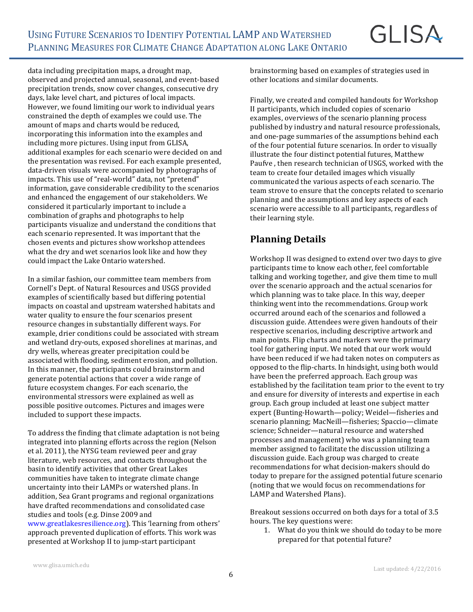data including precipitation maps, a drought map, observed and projected annual, seasonal, and event-based precipitation trends, snow cover changes, consecutive dry days, lake level chart, and pictures of local impacts. However, we found limiting our work to individual years constrained the depth of examples we could use. The amount of maps and charts would be reduced, incorporating this information into the examples and including more pictures. Using input from GLISA, additional examples for each scenario were decided on and the presentation was revised. For each example presented, data-driven visuals were accompanied by photographs of impacts. This use of "real-world" data, not "pretend" information, gave considerable credibility to the scenarios and enhanced the engagement of our stakeholders. We considered it particularly important to include a combination of graphs and photographs to help participants visualize and understand the conditions that each scenario represented. It was important that the chosen events and pictures show workshop attendees what the dry and wet scenarios look like and how they could impact the Lake Ontario watershed.

In a similar fashion, our committee team members from Cornell's Dept. of Natural Resources and USGS provided examples of scientifically based but differing potential impacts on coastal and upstream watershed habitats and water quality to ensure the four scenarios present resource changes in substantially different ways. For example, drier conditions could be associated with stream and wetland dry-outs, exposed shorelines at marinas, and dry wells, whereas greater precipitation could be associated with flooding, sediment erosion, and pollution. In this manner, the participants could brainstorm and generate potential actions that cover a wide range of future ecosystem changes. For each scenario, the environmental stressors were explained as well as possible positive outcomes. Pictures and images were included to support these impacts.

To address the finding that climate adaptation is not being integrated into planning efforts across the region (Nelson et al. 2011), the NYSG team reviewed peer and gray literature, web resources, and contacts throughout the basin to identify activities that other Great Lakes communities have taken to integrate climate change uncertainty into their LAMPs or watershed plans. In addition, Sea Grant programs and regional organizations have drafted recommendations and consolidated case studies and tools (e.g. Dinse 2009 and www.greatlakesresilience.org). This 'learning from others' approach prevented duplication of efforts. This work was presented at Workshop II to jump-start participant

brainstorming based on examples of strategies used in other locations and similar documents.

**GLISA** 

Finally, we created and compiled handouts for Workshop II participants, which included copies of scenario examples, overviews of the scenario planning process published by industry and natural resource professionals, and one-page summaries of the assumptions behind each of the four potential future scenarios. In order to visually illustrate the four distinct potential futures, Matthew Paufve, then research technician of USGS, worked with the team to create four detailed images which visually communicated the various aspects of each scenario. The team strove to ensure that the concepts related to scenario planning and the assumptions and key aspects of each scenario were accessible to all participants, regardless of their learning style.

#### **Planning Details**

Workshop II was designed to extend over two days to give participants time to know each other, feel comfortable talking and working together, and give them time to mull over the scenario approach and the actual scenarios for which planning was to take place. In this way, deeper thinking went into the recommendations. Group work occurred around each of the scenarios and followed a discussion guide. Attendees were given handouts of their respective scenarios, including descriptive artwork and main points. Flip charts and markers were the primary tool for gathering input. We noted that our work would have been reduced if we had taken notes on computers as opposed to the flip-charts. In hindsight, using both would have been the preferred approach. Each group was established by the facilitation team prior to the event to try and ensure for diversity of interests and expertise in each group. Each group included at least one subject matter expert (Bunting-Howarth-policy; Weidel-fisheries and scenario planning; MacNeill—fisheries; Spaccio—climate science; Schneider-natural resource and watershed processes and management) who was a planning team member assigned to facilitate the discussion utilizing a discussion guide. Each group was charged to create recommendations for what decision-makers should do today to prepare for the assigned potential future scenario (noting that we would focus on recommendations for LAMP and Watershed Plans).

Breakout sessions occurred on both days for a total of 3.5 hours. The key questions were:

1. What do you think we should do today to be more prepared for that potential future?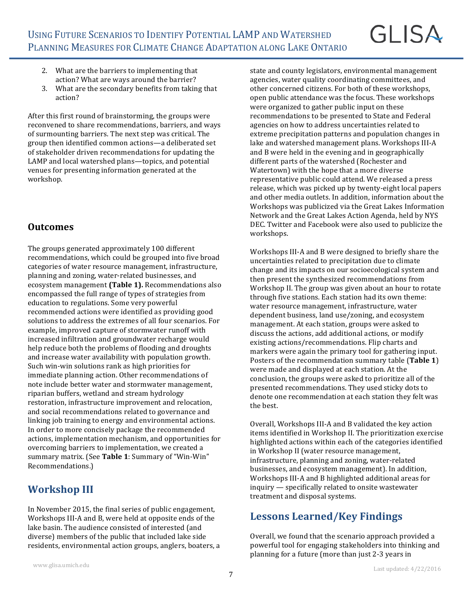# **GLISA**

- 2. What are the barriers to implementing that action? What are ways around the barrier?
- 3. What are the secondary benefits from taking that action?

After this first round of brainstorming, the groups were reconvened to share recommendations, barriers, and ways of surmounting barriers. The next step was critical. The group then identified common actions—a deliberated set of stakeholder driven recommendations for updating the LAMP and local watershed plans—topics, and potential venues for presenting information generated at the workshop.

#### **Outcomes**

The groups generated approximately 100 different recommendations, which could be grouped into five broad categories of water resource management, infrastructure, planning and zoning, water-related businesses, and ecosystem management (Table 1). Recommendations also encompassed the full range of types of strategies from education to regulations. Some very powerful recommended actions were identified as providing good solutions to address the extremes of all four scenarios. For example, improved capture of stormwater runoff with increased infiltration and groundwater recharge would help reduce both the problems of flooding and droughts and increase water availability with population growth. Such win-win solutions rank as high priorities for immediate planning action. Other recommendations of note include better water and stormwater management, riparian buffers, wetland and stream hydrology restoration, infrastructure improvement and relocation, and social recommendations related to governance and linking job training to energy and environmental actions. In order to more concisely package the recommended actions, implementation mechanism, and opportunities for overcoming barriers to implementation, we created a summary matrix. (See Table 1: Summary of "Win-Win" Recommendations.)

# **Workshop III**

In November 2015, the final series of public engagement, Workshops III-A and B, were held at opposite ends of the lake basin. The audience consisted of interested (and diverse) members of the public that included lake side residents, environmental action groups, anglers, boaters, a state and county legislators, environmental management agencies, water quality coordinating committees, and other concerned citizens. For both of these workshops, open public attendance was the focus. These workshops were organized to gather public input on these recommendations to be presented to State and Federal agencies on how to address uncertainties related to extreme precipitation patterns and population changes in lake and watershed management plans. Workshops III-A and B were held in the evening and in geographically different parts of the watershed (Rochester and Watertown) with the hope that a more diverse representative public could attend. We released a press release, which was picked up by twenty-eight local papers and other media outlets. In addition, information about the Workshops was publicized via the Great Lakes Information Network and the Great Lakes Action Agenda, held by NYS DEC. Twitter and Facebook were also used to publicize the workshops. 

Workshops III-A and B were designed to briefly share the uncertainties related to precipitation due to climate change and its impacts on our socioecological system and then present the synthesized recommendations from Workshop II. The group was given about an hour to rotate through five stations. Each station had its own theme: water resource management, infrastructure, water dependent business, land use/zoning, and ecosystem management. At each station, groups were asked to discuss the actions, add additional actions, or modify existing actions/recommendations. Flip charts and markers were again the primary tool for gathering input. Posters of the recommendation summary table (Table 1) were made and displayed at each station. At the conclusion, the groups were asked to prioritize all of the presented recommendations. They used sticky dots to denote one recommendation at each station they felt was the best.

Overall, Workshops III-A and B validated the key action items identified in Workshop II. The prioritization exercise highlighted actions within each of the categories identified in Workshop II (water resource management, infrastructure, planning and zoning, water-related businesses, and ecosystem management). In addition, Workshops III-A and B highlighted additional areas for  $inquiv$  — specifically related to onsite wastewater treatment and disposal systems.

# Lessons Learned/Key Findings

Overall, we found that the scenario approach provided a powerful tool for engaging stakeholders into thinking and planning for a future (more than just 2-3 years in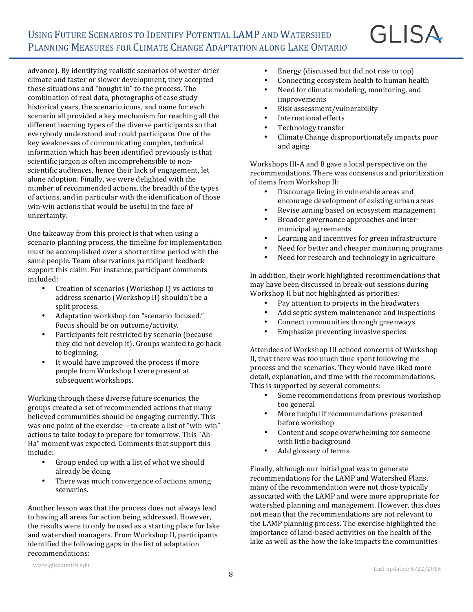advance). By identifying realistic scenarios of wetter-drier climate and faster or slower development, they accepted these situations and "bought in" to the process. The combination of real data, photographs of case study historical years, the scenario icons, and name for each scenario all provided a key mechanism for reaching all the different learning types of the diverse participants so that everybody understood and could participate. One of the key weaknesses of communicating complex, technical information which has been identified previously is that scientific jargon is often incomprehensible to nonscientific audiences, hence their lack of engagement, let alone adoption. Finally, we were delighted with the number of recommended actions, the breadth of the types of actions, and in particular with the identification of those win-win actions that would be useful in the face of uncertainty. 

One takeaway from this project is that when using a scenario planning process, the timeline for implementation must be accomplished over a shorter time period with the same people. Team observations participant feedback support this claim. For instance, participant comments included:

- Creation of scenarios (Workshop I) vs actions to address scenario (Workshop II) shouldn't be a split process.
- Adaptation workshop too "scenario focused." Focus should be on outcome/activity.
- Participants felt restricted by scenario (because they did not develop it). Groups wanted to go back to beginning.
- It would have improved the process if more people from Workshop I were present at subsequent workshops.

Working through these diverse future scenarios, the groups created a set of recommended actions that many believed communities should be engaging currently. This was one point of the exercise—to create a list of "win-win" actions to take today to prepare for tomorrow. This "Ah-Ha" moment was expected. Comments that support this include:

- Group ended up with a list of what we should already be doing.
- There was much convergence of actions among scenarios.

Another lesson was that the process does not always lead to having all areas for action being addressed. However, the results were to only be used as a starting place for lake and watershed managers. From Workshop II, participants identified the following gaps in the list of adaptation recommendations:

Connecting ecosystem health to human health

GLISA

- Need for climate modeling, monitoring, and improvements
- Risk assessment/vulnerability
- International effects
- Technology transfer
- Climate Change disproportionately impacts poor and aging

Workshops III-A and B gave a local perspective on the recommendations. There was consensus and prioritization of items from Workshop II:

- Discourage living in vulnerable areas and encourage development of existing urban areas
- Revise zoning based on ecosystem management
- Broader governance approaches and intermunicipal agreements
- Learning and incentives for green infrastructure
- Need for better and cheaper monitoring programs
- Need for research and technology in agriculture

In addition, their work highlighted recommendations that may have been discussed in break-out sessions during Workshop II but not highlighted as priorities:

- Pay attention to projects in the headwaters
- Add septic system maintenance and inspections
- Connect communities through greenways
- Emphasize preventing invasive species

Attendees of Workshop III echoed concerns of Workshop II, that there was too much time spent following the process and the scenarios. They would have liked more detail, explanation, and time with the recommendations. This is supported by several comments:

- Some recommendations from previous workshop too general
- More helpful if recommendations presented before workshop
- Content and scope overwhelming for someone with little background
- Add glossary of terms

Finally, although our initial goal was to generate recommendations for the LAMP and Watershed Plans, many of the recommendation were not those typically associated with the LAMP and were more appropriate for watershed planning and management. However, this does not mean that the recommendations are not relevant to the LAMP planning process. The exercise highlighted the importance of land-based activities on the health of the lake as well as the how the lake impacts the communities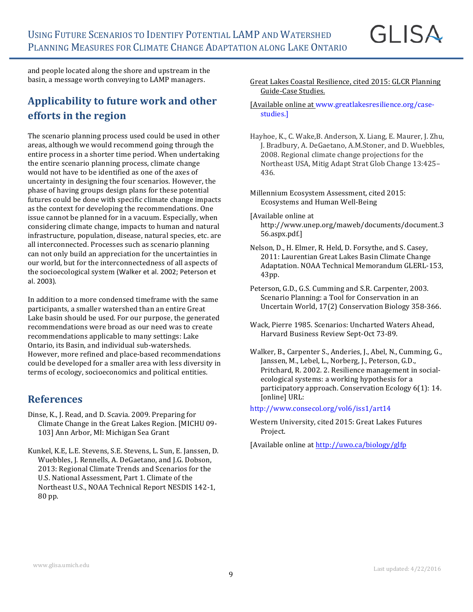GLISA

and people located along the shore and upstream in the basin, a message worth conveying to LAMP managers.

# **Applicability to future work and other efforts** in the region

The scenario planning process used could be used in other areas, although we would recommend going through the entire process in a shorter time period. When undertaking the entire scenario planning process, climate change would not have to be identified as one of the axes of uncertainty in designing the four scenarios. However, the phase of having groups design plans for these potential futures could be done with specific climate change impacts as the context for developing the recommendations. One issue cannot be planned for in a vacuum. Especially, when considering climate change, impacts to human and natural infrastructure, population, disease, natural species, etc. are all interconnected. Processes such as scenario planning can not only build an appreciation for the uncertainties in our world, but for the interconnectedness of all aspects of the socioecological system (Walker et al. 2002; Peterson et al. 2003).

In addition to a more condensed timeframe with the same participants, a smaller watershed than an entire Great Lake basin should be used. For our purpose, the generated recommendations were broad as our need was to create recommendations applicable to many settings: Lake Ontario, its Basin, and individual sub-watersheds. However, more refined and place-based recommendations could be developed for a smaller area with less diversity in terms of ecology, socioeconomics and political entities.

#### **References**

- Dinse, K., J. Read, and D. Scavia. 2009. Preparing for Climate Change in the Great Lakes Region. [MICHU 09-103] Ann Arbor, MI: Michigan Sea Grant
- Kunkel, K.E, L.E. Stevens, S.E. Stevens, L. Sun, E. Janssen, D. Wuebbles, J. Rennells, A. DeGaetano, and J.G. Dobson, 2013: Regional Climate Trends and Scenarios for the U.S. National Assessment, Part 1. Climate of the Northeast U.S., NOAA Technical Report NESDIS 142-1, 80 pp.
- Great Lakes Coastal Resilience, cited 2015: GLCR Planning Guide-Case Studies.
- [Available online at www.greatlakesresilience.org/casestudies.]
- Hayhoe, K., C. Wake, B. Anderson, X. Liang, E. Maurer, J. Zhu, J. Bradbury, A. DeGaetano, A.M.Stoner, and D. Wuebbles, 2008. Regional climate change projections for the Northeast USA, Mitig Adapt Strat Glob Change 13:425-436.
- Millennium Ecosystem Assessment, cited 2015: Ecosystems and Human Well-Being
- [Available online at http://www.unep.org/maweb/documents/document.3 56.aspx.pdf.]
- Nelson, D., H. Elmer, R. Held, D. Forsythe, and S. Casey, 2011: Laurentian Great Lakes Basin Climate Change Adaptation. NOAA Technical Memorandum GLERL-153, 43pp.
- Peterson, G.D., G.S. Cumming and S.R. Carpenter, 2003. Scenario Planning: a Tool for Conservation in an Uncertain World, 17(2) Conservation Biology 358-366.
- Wack, Pierre 1985. Scenarios: Uncharted Waters Ahead. Harvard Business Review Sept-Oct 73-89.
- Walker, B., Carpenter S., Anderies, J., Abel, N., Cumming, G., Janssen, M., Lebel, L., Norberg, J., Peterson, G.D., Pritchard, R. 2002. 2. Resilience management in socialecological systems: a working hypothesis for a participatory approach. Conservation Ecology 6(1): 14. [online] URL:

#### http://www.consecol.org/vol6/iss1/art14

- Western University, cited 2015: Great Lakes Futures Project.
- [Available online at http://uwo.ca/biology/glfp